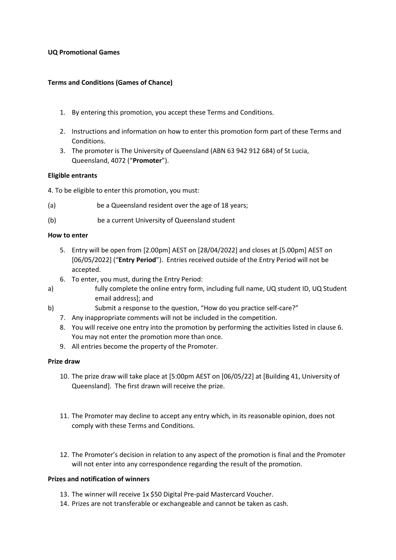### **UQ Promotional Games**

# **Terms and Conditions (Games of Chance)**

- 1. By entering this promotion, you accept these Terms and Conditions.
- 2. Instructions and information on how to enter this promotion form part of these Terms and Conditions.
- 3. The promoter is The University of Queensland (ABN 63 942 912 684) of St Lucia, Queensland, 4072 ("**Promoter**").

## **Eligible entrants**

4. To be eligible to enter this promotion, you must:

- (a) be a Queensland resident over the age of 18 years;
- (b) be a current University of Queensland student

## **How to enter**

- 5. Entry will be open from [2.00pm] AEST on [28/04/2022] and closes at [5.00pm] AEST on [06/05/2022] ("**Entry Period**"). Entries received outside of the Entry Period will not be accepted.
- 6. To enter, you must, during the Entry Period:
- a) fully complete the online entry form, including full name, UQ student ID, UQ Student email address]; and
- b) Submit a response to the question, "How do you practice self-care?"
	- 7. Any inappropriate comments will not be included in the competition.
	- 8. You will receive one entry into the promotion by performing the activities listed in clause 6. You may not enter the promotion more than once.
	- 9. All entries become the property of the Promoter.

## **Prize draw**

- 10. The prize draw will take place at [5:00pm AEST on [06/05/22] at [Building 41, University of Queensland]. The first drawn will receive the prize.
- 11. The Promoter may decline to accept any entry which, in its reasonable opinion, does not comply with these Terms and Conditions.
- 12. The Promoter's decision in relation to any aspect of the promotion is final and the Promoter will not enter into any correspondence regarding the result of the promotion.

### **Prizes and notification of winners**

- 13. The winner will receive 1x \$50 Digital Pre-paid Mastercard Voucher.
- 14. Prizes are not transferable or exchangeable and cannot be taken as cash.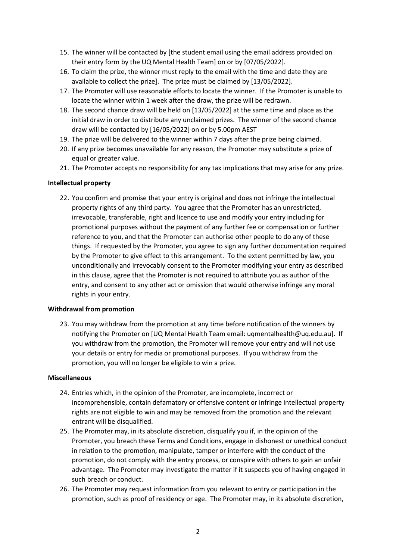- 15. The winner will be contacted by [the student email using the email address provided on their entry form by the UQ Mental Health Team] on or by [07/05/2022].
- 16. To claim the prize, the winner must reply to the email with the time and date they are available to collect the prize]. The prize must be claimed by [13/05/2022].
- 17. The Promoter will use reasonable efforts to locate the winner. If the Promoter is unable to locate the winner within 1 week after the draw, the prize will be redrawn.
- 18. The second chance draw will be held on [13/05/2022] at the same time and place as the initial draw in order to distribute any unclaimed prizes. The winner of the second chance draw will be contacted by [16/05/2022] on or by 5.00pm AEST
- 19. The prize will be delivered to the winner within 7 days after the prize being claimed.
- 20. If any prize becomes unavailable for any reason, the Promoter may substitute a prize of equal or greater value.
- 21. The Promoter accepts no responsibility for any tax implications that may arise for any prize.

## **Intellectual property**

22. You confirm and promise that your entry is original and does not infringe the intellectual property rights of any third party. You agree that the Promoter has an unrestricted, irrevocable, transferable, right and licence to use and modify your entry including for promotional purposes without the payment of any further fee or compensation or further reference to you, and that the Promoter can authorise other people to do any of these things. If requested by the Promoter, you agree to sign any further documentation required by the Promoter to give effect to this arrangement. To the extent permitted by law, you unconditionally and irrevocably consent to the Promoter modifying your entry as described in this clause, agree that the Promoter is not required to attribute you as author of the entry, and consent to any other act or omission that would otherwise infringe any moral rights in your entry.

### **Withdrawal from promotion**

23. You may withdraw from the promotion at any time before notification of the winners by notifying the Promoter on [UQ Mental Health Team email: uqmentalhealth@uq.edu.au]. If you withdraw from the promotion, the Promoter will remove your entry and will not use your details or entry for media or promotional purposes. If you withdraw from the promotion, you will no longer be eligible to win a prize.

### **Miscellaneous**

- 24. Entries which, in the opinion of the Promoter, are incomplete, incorrect or incomprehensible, contain defamatory or offensive content or infringe intellectual property rights are not eligible to win and may be removed from the promotion and the relevant entrant will be disqualified.
- 25. The Promoter may, in its absolute discretion, disqualify you if, in the opinion of the Promoter, you breach these Terms and Conditions, engage in dishonest or unethical conduct in relation to the promotion, manipulate, tamper or interfere with the conduct of the promotion, do not comply with the entry process, or conspire with others to gain an unfair advantage. The Promoter may investigate the matter if it suspects you of having engaged in such breach or conduct.
- 26. The Promoter may request information from you relevant to entry or participation in the promotion, such as proof of residency or age. The Promoter may, in its absolute discretion,